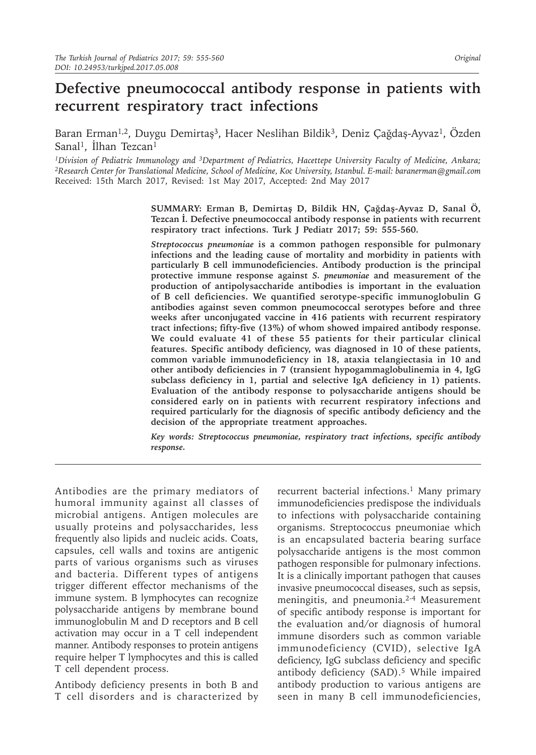# **Defective pneumococcal antibody response in patients with recurrent respiratory tract infections**

Baran Erman<sup>1,2</sup>, Duygu Demirtaş<sup>3</sup>, Hacer Neslihan Bildik<sup>3</sup>, Deniz Çağdaş-Ayvaz<sup>1</sup>, Özden Sanal<sup>1</sup>, İlhan Tezcan<sup>1</sup>

*<sup>1</sup>Division of Pediatric Immunology and 3Department of Pediatrics, Hacettepe University Faculty of Medicine, Ankara; <sup>2</sup>Research Center for Translational Medicine, School of Medicine, Koc University, Istanbul. E-mail: baranerman@gmail.com* Received: 15th March 2017, Revised: 1st May 2017, Accepted: 2nd May 2017

> **SUMMARY: Erman B, Demirtaş D, Bildik HN, Çağdaş-Ayvaz D, Sanal Ö, Tezcan İ. Defective pneumococcal antibody response in patients with recurrent respiratory tract infections. Turk J Pediatr 2017; 59: 555-560.**

> *Streptococcus pneumoniae* **is a common pathogen responsible for pulmonary infections and the leading cause of mortality and morbidity in patients with particularly B cell immunodeficiencies. Antibody production is the principal protective immune response against** *S. pneumoniae* **and measurement of the production of antipolysaccharide antibodies is important in the evaluation of B cell deficiencies. We quantified serotype-specific immunoglobulin G antibodies against seven common pneumococcal serotypes before and three weeks after unconjugated vaccine in 416 patients with recurrent respiratory tract infections; fifty-five (13%) of whom showed impaired antibody response. We could evaluate 41 of these 55 patients for their particular clinical features. Specific antibody deficiency, was diagnosed in 10 of these patients, common variable immunodeficiency in 18, ataxia telangiectasia in 10 and other antibody deficiencies in 7 (transient hypogammaglobulinemia in 4, IgG subclass deficiency in 1, partial and selective IgA deficiency in 1) patients. Evaluation of the antibody response to polysaccharide antigens should be considered early on in patients with recurrent respiratory infections and required particularly for the diagnosis of specific antibody deficiency and the decision of the appropriate treatment approaches.**

> *Key words: Streptococcus pneumoniae, respiratory tract infections, specific antibody response.*

Antibodies are the primary mediators of humoral immunity against all classes of microbial antigens. Antigen molecules are usually proteins and polysaccharides, less frequently also lipids and nucleic acids. Coats, capsules, cell walls and toxins are antigenic parts of various organisms such as viruses and bacteria. Different types of antigens trigger different effector mechanisms of the immune system. B lymphocytes can recognize polysaccharide antigens by membrane bound immunoglobulin M and D receptors and B cell activation may occur in a T cell independent manner. Antibody responses to protein antigens require helper T lymphocytes and this is called T cell dependent process.

Antibody deficiency presents in both B and T cell disorders and is characterized by recurrent bacterial infections.<sup>1</sup> Many primary immunodeficiencies predispose the individuals to infections with polysaccharide containing organisms. Streptococcus pneumoniae which is an encapsulated bacteria bearing surface polysaccharide antigens is the most common pathogen responsible for pulmonary infections. It is a clinically important pathogen that causes invasive pneumococcal diseases, such as sepsis, meningitis, and pneumonia.2-4 Measurement of specific antibody response is important for the evaluation and/or diagnosis of humoral immune disorders such as common variable immunodeficiency (CVID), selective IgA deficiency, IgG subclass deficiency and specific antibody deficiency (SAD).<sup>5</sup> While impaired antibody production to various antigens are seen in many B cell immunodeficiencies,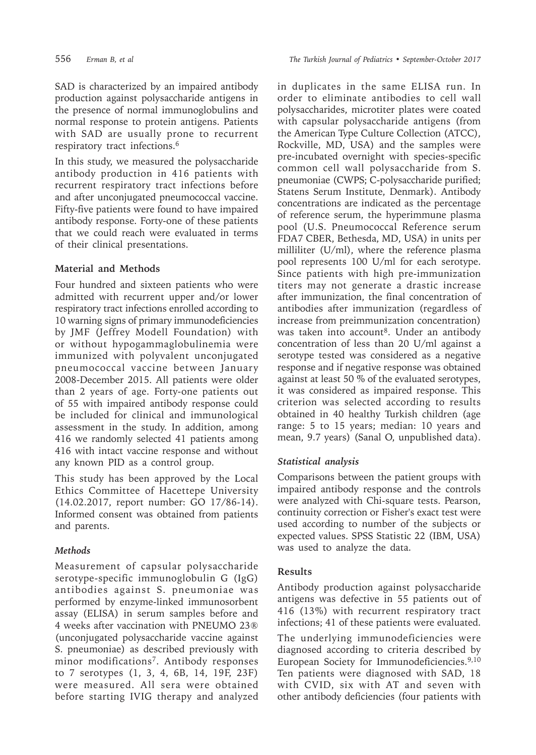SAD is characterized by an impaired antibody production against polysaccharide antigens in the presence of normal immunoglobulins and normal response to protein antigens. Patients with SAD are usually prone to recurrent respiratory tract infections.6

In this study, we measured the polysaccharide antibody production in 416 patients with recurrent respiratory tract infections before and after unconjugated pneumococcal vaccine. Fifty-five patients were found to have impaired antibody response. Forty-one of these patients that we could reach were evaluated in terms of their clinical presentations.

## **Material and Methods**

Four hundred and sixteen patients who were admitted with recurrent upper and/or lower respiratory tract infections enrolled according to 10 warning signs of primary immunodeficiencies by JMF (Jeffrey Modell Foundation) with or without hypogammaglobulinemia were immunized with polyvalent unconjugated pneumococcal vaccine between January 2008-December 2015. All patients were older than 2 years of age. Forty-one patients out of 55 with impaired antibody response could be included for clinical and immunological assessment in the study. In addition, among 416 we randomly selected 41 patients among 416 with intact vaccine response and without any known PID as a control group.

This study has been approved by the Local Ethics Committee of Hacettepe University (14.02.2017, report number: GO 17/86-14). Informed consent was obtained from patients and parents.

# *Methods*

Measurement of capsular polysaccharide serotype-specific immunoglobulin G (IgG) antibodies against S. pneumoniae was performed by enzyme-linked immunosorbent assay (ELISA) in serum samples before and 4 weeks after vaccination with PNEUMO 23® (unconjugated polysaccharide vaccine against S. pneumoniae) as described previously with minor modifications<sup>7</sup>. Antibody responses to 7 serotypes (1, 3, 4, 6B, 14, 19F, 23F) were measured. All sera were obtained before starting IVIG therapy and analyzed in duplicates in the same ELISA run. In order to eliminate antibodies to cell wall polysaccharides, microtiter plates were coated with capsular polysaccharide antigens (from the American Type Culture Collection (ATCC), Rockville, MD, USA) and the samples were pre-incubated overnight with species-specific common cell wall polysaccharide from S. pneumoniae (CWPS; C-polysaccharide purified; Statens Serum Institute, Denmark). Antibody concentrations are indicated as the percentage of reference serum, the hyperimmune plasma pool (U.S. Pneumococcal Reference serum FDA7 CBER, Bethesda, MD, USA) in units per milliliter (U/ml), where the reference plasma pool represents 100 U/ml for each serotype. Since patients with high pre-immunization titers may not generate a drastic increase after immunization, the final concentration of antibodies after immunization (regardless of increase from preimmunization concentration) was taken into account<sup>8</sup>. Under an antibody concentration of less than 20 U/ml against a serotype tested was considered as a negative response and if negative response was obtained against at least 50 % of the evaluated serotypes, it was considered as impaired response. This criterion was selected according to results obtained in 40 healthy Turkish children (age range: 5 to 15 years; median: 10 years and mean, 9.7 years) (Sanal O, unpublished data).

# *Statistical analysis*

Comparisons between the patient groups with impaired antibody response and the controls were analyzed with Chi-square tests. Pearson, continuity correction or Fisher's exact test were used according to number of the subjects or expected values. SPSS Statistic 22 (IBM, USA) was used to analyze the data.

### **Results**

Antibody production against polysaccharide antigens was defective in 55 patients out of 416 (13%) with recurrent respiratory tract infections; 41 of these patients were evaluated.

The underlying immunodeficiencies were diagnosed according to criteria described by European Society for Immunodeficiencies.9,10 Ten patients were diagnosed with SAD, 18 with CVID, six with AT and seven with other antibody deficiencies (four patients with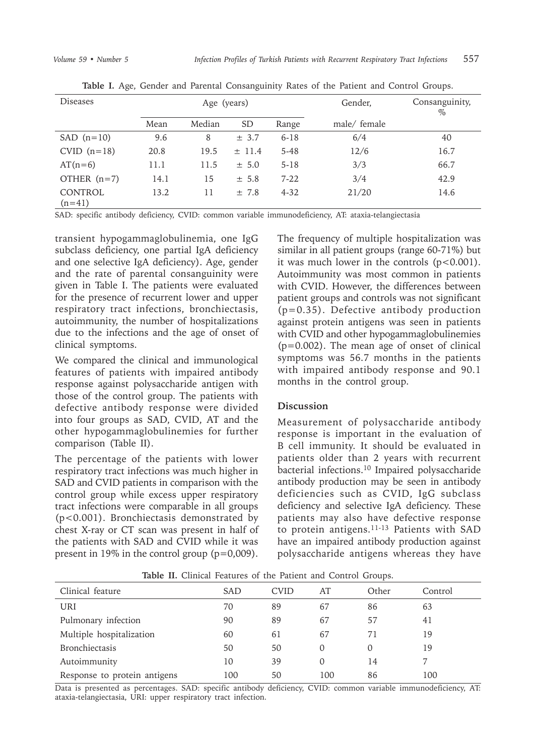| Diseases                   | Age (years) |        |            |          | Gender,      | Consanguinity,<br>$\%$ |
|----------------------------|-------------|--------|------------|----------|--------------|------------------------|
|                            | Mean        | Median | <b>SD</b>  | Range    | male/ female |                        |
| $SAD$ (n=10)               | 9.6         | 8      | $\pm$ 3.7  | $6 - 18$ | 6/4          | 40                     |
| $CVID (n=18)$              | 20.8        | 19.5   | $\pm$ 11.4 | $5 - 48$ | 12/6         | 16.7                   |
| $AT(n=6)$                  | 11.1        | 11.5   | ± 5.0      | $5-18$   | 3/3          | 66.7                   |
| OTHER $(n=7)$              | 14.1        | 15     | ± 5.8      | $7 - 22$ | 3/4          | 42.9                   |
| <b>CONTROL</b><br>$(n=41)$ | 13.2        | 11     | ±7.8       | $4 - 32$ | 21/20        | 14.6                   |

**Table I.** Age, Gender and Parental Consanguinity Rates of the Patient and Control Groups.

SAD: specific antibody deficiency, CVID: common variable immunodeficiency, AT: ataxia-telangiectasia

transient hypogammaglobulinemia, one IgG subclass deficiency, one partial IgA deficiency and one selective IgA deficiency). Age, gender and the rate of parental consanguinity were given in Table I. The patients were evaluated for the presence of recurrent lower and upper respiratory tract infections, bronchiectasis, autoimmunity, the number of hospitalizations due to the infections and the age of onset of clinical symptoms.

We compared the clinical and immunological features of patients with impaired antibody response against polysaccharide antigen with those of the control group. The patients with defective antibody response were divided into four groups as SAD, CVID, AT and the other hypogammaglobulinemies for further comparison (Table II).

The percentage of the patients with lower respiratory tract infections was much higher in SAD and CVID patients in comparison with the control group while excess upper respiratory tract infections were comparable in all groups (p<0.001). Bronchiectasis demonstrated by chest X-ray or CT scan was present in half of the patients with SAD and CVID while it was present in 19% in the control group  $(p=0,009)$ .

The frequency of multiple hospitalization was similar in all patient groups (range 60-71%) but it was much lower in the controls  $(p<0.001)$ . Autoimmunity was most common in patients with CVID. However, the differences between patient groups and controls was not significant (p=0.35). Defective antibody production against protein antigens was seen in patients with CVID and other hypogammaglobulinemies (p=0.002). The mean age of onset of clinical symptoms was 56.7 months in the patients with impaired antibody response and 90.1 months in the control group.

### **Discussion**

Measurement of polysaccharide antibody response is important in the evaluation of B cell immunity. It should be evaluated in patients older than 2 years with recurrent bacterial infections.10 Impaired polysaccharide antibody production may be seen in antibody deficiencies such as CVID, IgG subclass deficiency and selective IgA deficiency. These patients may also have defective response to protein antigens.11-13 Patients with SAD have an impaired antibody production against polysaccharide antigens whereas they have

| <b>rable 11.</b> Chinear Features of the Fatient and Control Groups. |     |             |     |       |         |  |  |  |  |
|----------------------------------------------------------------------|-----|-------------|-----|-------|---------|--|--|--|--|
| Clinical feature                                                     | SAD | <b>CVID</b> | AT  | Other | Control |  |  |  |  |
| URI                                                                  | 70  | 89          | 67  | 86    | 63      |  |  |  |  |
| Pulmonary infection                                                  | 90  | 89          | 67  | 57    | 41      |  |  |  |  |
| Multiple hospitalization                                             | 60  | 61          | 67  | 71    | 19      |  |  |  |  |
| <b>Bronchiectasis</b>                                                | 50  | 50          | 0   | 0     | 19      |  |  |  |  |
| Autoimmunity                                                         | 10  | 39          | 0   | 14    |         |  |  |  |  |
| Response to protein antigens                                         | 100 | 50          | 100 | 86    | 100     |  |  |  |  |

**Table II.** Clinical Features of the Patient and Control Groups.

Data is presented as percentages. SAD: specific antibody deficiency, CVID: common variable immunodeficiency, AT: ataxia-telangiectasia, URI: upper respiratory tract infection.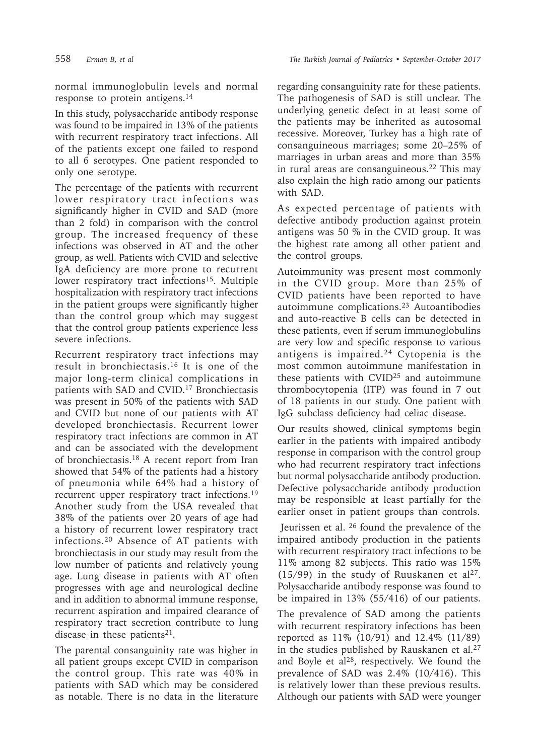normal immunoglobulin levels and normal response to protein antigens.14

In this study, polysaccharide antibody response was found to be impaired in 13% of the patients with recurrent respiratory tract infections. All of the patients except one failed to respond to all 6 serotypes. One patient responded to only one serotype.

The percentage of the patients with recurrent lower respiratory tract infections was significantly higher in CVID and SAD (more than 2 fold) in comparison with the control group. The increased frequency of these infections was observed in AT and the other group, as well. Patients with CVID and selective IgA deficiency are more prone to recurrent lower respiratory tract infections<sup>15</sup>. Multiple hospitalization with respiratory tract infections in the patient groups were significantly higher than the control group which may suggest that the control group patients experience less severe infections.

Recurrent respiratory tract infections may result in bronchiectasis.16 It is one of the major long-term clinical complications in patients with SAD and CVID.<sup>17</sup> Bronchiectasis was present in 50% of the patients with SAD and CVID but none of our patients with AT developed bronchiectasis. Recurrent lower respiratory tract infections are common in AT and can be associated with the development of bronchiectasis.18 A recent report from Iran showed that 54% of the patients had a history of pneumonia while 64% had a history of recurrent upper respiratory tract infections.19 Another study from the USA revealed that 38% of the patients over 20 years of age had a history of recurrent lower respiratory tract infections.20 Absence of AT patients with bronchiectasis in our study may result from the low number of patients and relatively young age. Lung disease in patients with AT often progresses with age and neurological decline and in addition to abnormal immune response, recurrent aspiration and impaired clearance of respiratory tract secretion contribute to lung disease in these patients<sup>21</sup>.

The parental consanguinity rate was higher in all patient groups except CVID in comparison the control group. This rate was 40% in patients with SAD which may be considered as notable. There is no data in the literature

regarding consanguinity rate for these patients. The pathogenesis of SAD is still unclear. The underlying genetic defect in at least some of the patients may be inherited as autosomal recessive. Moreover, Turkey has a high rate of consanguineous marriages; some 20–25% of marriages in urban areas and more than 35% in rural areas are consanguineous.22 This may also explain the high ratio among our patients with SAD.

As expected percentage of patients with defective antibody production against protein antigens was 50 % in the CVID group. It was the highest rate among all other patient and the control groups.

Autoimmunity was present most commonly in the CVID group. More than 25% of CVID patients have been reported to have autoimmune complications.23 Autoantibodies and auto-reactive B cells can be detected in these patients, even if serum immunoglobulins are very low and specific response to various antigens is impaired.24 Cytopenia is the most common autoimmune manifestation in these patients with CVID25 and autoimmune thrombocytopenia (ITP) was found in 7 out of 18 patients in our study. One patient with IgG subclass deficiency had celiac disease.

Our results showed, clinical symptoms begin earlier in the patients with impaired antibody response in comparison with the control group who had recurrent respiratory tract infections but normal polysaccharide antibody production. Defective polysaccharide antibody production may be responsible at least partially for the earlier onset in patient groups than controls.

 Jeurissen et al. 26 found the prevalence of the impaired antibody production in the patients with recurrent respiratory tract infections to be 11% among 82 subjects. This ratio was 15% (15/99) in the study of Ruuskanen et al<sup>27</sup>. Polysaccharide antibody response was found to be impaired in 13% (55/416) of our patients.

The prevalence of SAD among the patients with recurrent respiratory infections has been reported as 11% (10/91) and 12.4% (11/89) in the studies published by Rauskanen et al.<sup>27</sup> and Boyle et al<sup>28</sup>, respectively. We found the prevalence of SAD was 2.4% (10/416). This is relatively lower than these previous results. Although our patients with SAD were younger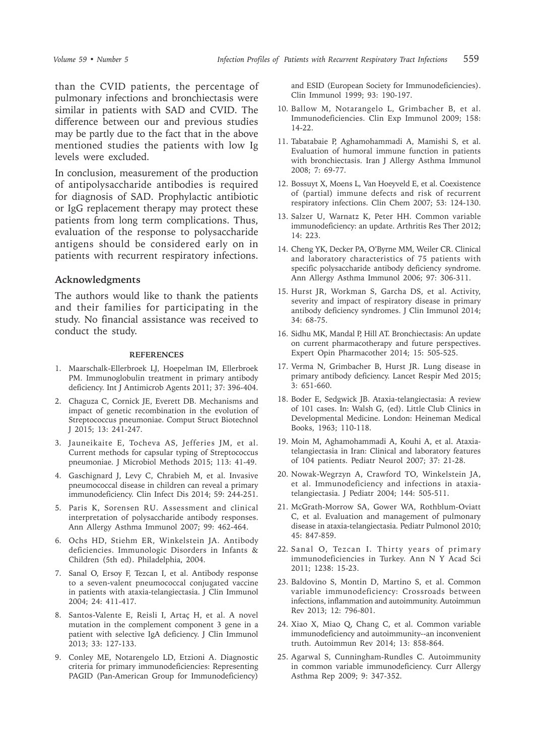than the CVID patients, the percentage of pulmonary infections and bronchiectasis were similar in patients with SAD and CVID. The difference between our and previous studies may be partly due to the fact that in the above mentioned studies the patients with low Ig levels were excluded.

In conclusion, measurement of the production of antipolysaccharide antibodies is required for diagnosis of SAD. Prophylactic antibiotic or IgG replacement therapy may protect these patients from long term complications. Thus, evaluation of the response to polysaccharide antigens should be considered early on in patients with recurrent respiratory infections.

#### **Acknowledgments**

The authors would like to thank the patients and their families for participating in the study. No financial assistance was received to conduct the study.

#### **REFERENCES**

- 1. Maarschalk-Ellerbroek LJ, Hoepelman IM, Ellerbroek PM. Immunoglobulin treatment in primary antibody deficiency. Int J Antimicrob Agents 2011; 37: 396-404.
- 2. Chaguza C, Cornick JE, Everett DB. Mechanisms and impact of genetic recombination in the evolution of Streptococcus pneumoniae. Comput Struct Biotechnol J 2015; 13: 241-247.
- 3. Jauneikaite E, Tocheva AS, Jefferies JM, et al. Current methods for capsular typing of Streptococcus pneumoniae. J Microbiol Methods 2015; 113: 41-49.
- 4. Gaschignard J, Levy C, Chrabieh M, et al. Invasive pneumococcal disease in children can reveal a primary immunodeficiency. Clin Infect Dis 2014; 59: 244-251.
- 5. Paris K, Sorensen RU. Assessment and clinical interpretation of polysaccharide antibody responses. Ann Allergy Asthma Immunol 2007; 99: 462-464.
- 6. Ochs HD, Stiehm ER, Winkelstein JA. Antibody deficiencies. Immunologic Disorders in Infants & Children (5th ed). Philadelphia, 2004.
- 7. Sanal O, Ersoy F, Tezcan I, et al. Antibody response to a seven-valent pneumococcal conjugated vaccine in patients with ataxia-telangiectasia. J Clin Immunol 2004; 24: 411-417.
- 8. Santos-Valente E, Reisli I, Artaç H, et al. A novel mutation in the complement component 3 gene in a patient with selective IgA deficiency. J Clin Immunol 2013; 33: 127-133.
- 9. Conley ME, Notarengelo LD, Etzioni A. Diagnostic criteria for primary immunodeficiencies: Representing PAGID (Pan-American Group for Immunodeficiency)

and ESID (European Society for Immunodeficiencies). Clin Immunol 1999; 93: 190-197.

- 10. Ballow M, Notarangelo L, Grimbacher B, et al. Immunodeficiencies. Clin Exp Immunol 2009; 158: 14-22.
- 11. Tabatabaie P, Aghamohammadi A, Mamishi S, et al. Evaluation of humoral immune function in patients with bronchiectasis. Iran J Allergy Asthma Immunol 2008; 7: 69-77.
- 12. Bossuyt X, Moens L, Van Hoeyveld E, et al. Coexistence of (partial) immune defects and risk of recurrent respiratory infections. Clin Chem 2007; 53: 124-130.
- 13. Salzer U, Warnatz K, Peter HH. Common variable immunodeficiency: an update. Arthritis Res Ther 2012; 14: 223.
- 14. Cheng YK, Decker PA, O'Byrne MM, Weiler CR. Clinical and laboratory characteristics of 75 patients with specific polysaccharide antibody deficiency syndrome. Ann Allergy Asthma Immunol 2006; 97: 306-311.
- 15. Hurst JR, Workman S, Garcha DS, et al. Activity, severity and impact of respiratory disease in primary antibody deficiency syndromes. J Clin Immunol 2014; 34: 68-75.
- 16. Sidhu MK, Mandal P, Hill AT. Bronchiectasis: An update on current pharmacotherapy and future perspectives. Expert Opin Pharmacother 2014; 15: 505-525.
- 17. Verma N, Grimbacher B, Hurst JR. Lung disease in primary antibody deficiency. Lancet Respir Med 2015; 3: 651-660.
- 18. Boder E, Sedgwick JB. Ataxia-telangiectasia: A review of 101 cases. In: Walsh G, (ed). Little Club Clinics in Developmental Medicine. London: Heineman Medical Books, 1963; 110-118.
- 19. Moin M, Aghamohammadi A, Kouhi A, et al. Ataxiatelangiectasia in Iran: Clinical and laboratory features of 104 patients. Pediatr Neurol 2007; 37: 21-28.
- 20. Nowak-Wegrzyn A, Crawford TO, Winkelstein JA, et al. Immunodeficiency and infections in ataxiatelangiectasia. J Pediatr 2004; 144: 505-511.
- 21. McGrath-Morrow SA, Gower WA, Rothblum-Oviatt C, et al. Evaluation and management of pulmonary disease in ataxia-telangiectasia. Pediatr Pulmonol 2010; 45: 847-859.
- 22. Sanal O, Tezcan I. Thirty years of primary immunodeficiencies in Turkey. Ann N Y Acad Sci 2011; 1238: 15-23.
- 23. Baldovino S, Montin D, Martino S, et al. Common variable immunodeficiency: Crossroads between infections, inflammation and autoimmunity. Autoimmun Rev 2013; 12: 796-801.
- 24. Xiao X, Miao Q, Chang C, et al. Common variable immunodeficiency and autoimmunity--an inconvenient truth. Autoimmun Rev 2014; 13: 858-864.
- 25. Agarwal S, Cunningham-Rundles C. Autoimmunity in common variable immunodeficiency. Curr Allergy Asthma Rep 2009; 9: 347-352.